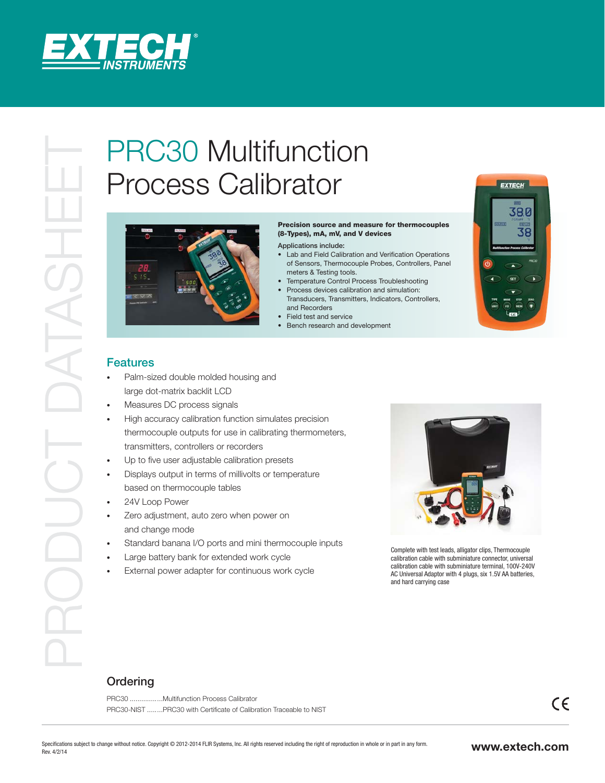

## Process Calibrator



## Precision source and measure for thermocouples (8-Types), mA, mV, and V devices

Applications include:

- Lab and Field Calibration and Verification Operations of Sensors, Thermocouple Probes, Controllers, Panel meters & Testing tools.
- Temperature Control Process Troubleshooting
- Process devices calibration and simulation: Transducers, Transmitters, Indicators, Controllers, and Recorders
- Field test and service
- Bench research and development



## Features

- Palm-sized double molded housing and large dot-matrix backlit LCD
- Measures DC process signals
- High accuracy calibration function simulates precision thermocouple outputs for use in calibrating thermometers, transmitters, controllers or recorders
- Up to five user adjustable calibration presets
- Displays output in terms of millivolts or temperature based on thermocouple tables
- 24V Loop Power
- Zero adjustment, auto zero when power on and change mode
- Standard banana I/O ports and mini thermocouple inputs
- Large battery bank for extended work cycle
- External power adapter for continuous work cycle



 Complete with test leads, alligator clips, Thermocouple calibration cable with subminiature connector, universal calibration cable with subminiature terminal, 100V-240V AC Universal Adaptor with 4 plugs, six 1.5V AA batteries, and hard carrying case

## **Ordering**

PRC30 ................. Multifunction Process Calibrator PRC30-NIST ........PRC30 with Certificate of Calibration Traceable to NIST